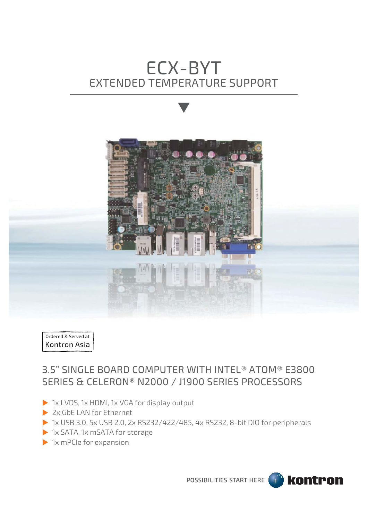# ECX-BYT EXTENDED TEMPERATURE SUPPORT



Ordered & Served at Kontron Asia

# 3.5" SINGLE BOARD COMPUTER WITH INTEL® ATOM® E3800 SERIES & CELERON® N2000 / J1900 SERIES PROCESSORS

- ▶ 1x LVDS, 1x HDMI, 1x VGA for display output
- 2x GbE LAN for Ethernet
- 1x USB 3.0, 5x USB 2.0, 2x RS232/422/485, 4x RS232, 8-bit DIO for peripherals
- 1x SATA, 1x mSATA for storage
- $\blacktriangleright$  1x mPCIe for expansion

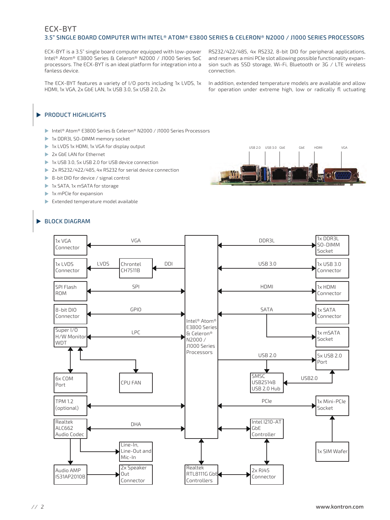RS232/422/485, 4x RS232, 8-bit DIO for peripheral applications, and reserves a mini PCIe slot allowing possible functionality expansion such as SSD storage, Wi-Fi, Bluetooth or 3G / LTE wireless

In addition, extended temperature models are available and allow for operation under extreme high, low or radically fl uctuating

### ECX-BYT

#### 3.5" SINGLE BOARD COMPUTER WITH INTEL® ATOM® E3800 SERIES & CELERON® N2000 / J1000 SERIES PROCESSORS

connection.

ECX-BYT is a 3.5" single board computer equipped with low-power Intel® Atom® E3800 Series & Celeron® N2000 / J1000 Series SoC processors. The ECX-BYT is an ideal platform for integration into a fanless device.

The ECX-BYT features a variety of I/O ports including 1x LVDS, 1x HDMI, 1x VGA, 2x GbE LAN, 1x USB 3.0, 5x USB 2.0, 2x

#### PRODUCT HIGHLIGHTS

- Intel® Atom® E3800 Series & Celeron® N2000 / J1000 Series Processors
- 1x DDR3L SO-DIMM memory socket
- ▶ 1x LVDS 1x HDMI, 1x VGA for display output
- 2x GbE LAN for Ethernet
- ▶ 1x USB 3.0, 5x USB 2.0 for USB device connection
- ▶ 2x RS232/422/485, 4x RS232 for serial device connection
- ▶ 8-bit DIO for device / signal control
- 1x SATA, 1x mSATA for storage
- $\blacktriangleright$  1x mPCIe for expansion
- Extended temperature model available

#### BLOCK DIAGRAM



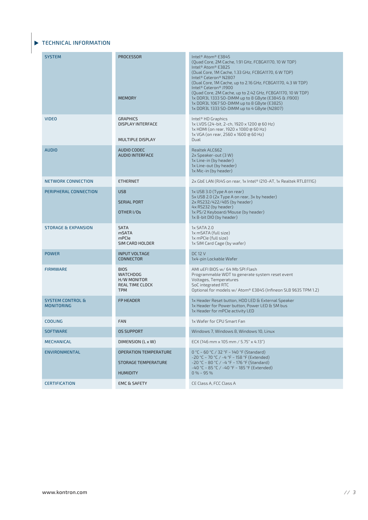## TECHNICAL INFORMATION

| <b>SYSTEM</b>                                    | <b>PROCESSOR</b><br><b>MEMORY</b>                                                     | Intel® Atom® E3845<br>(Ouad Core, 2M Cache, 1.91 GHz, FCBGA1170, 10 W TDP)<br>Intel® Atom® E3825<br>(Dual Core, 1M Cache, 1.33 GHz, FCBGA1170, 6 W TDP)<br>Intel® Celeron® N2807<br>(Dual Core, 1M Cache, up to 2.16 GHz, FCBGA1170, 4.3 W TDP)<br>Intel® Celeron® J1900<br>(Quad Core, 2M Cache, up to 2.42 GHz, FCBGA1170, 10 W TDP)<br>1x DDR3L 1333 SO-DIMM up to 8 GByte (E3845 & J1900)<br>1x DDR3L 1067 SO-DIMM up to 8 GByte (E3825)<br>1x DDR3L 1333 SO-DIMM up to 4 GByte (N2807) |
|--------------------------------------------------|---------------------------------------------------------------------------------------|---------------------------------------------------------------------------------------------------------------------------------------------------------------------------------------------------------------------------------------------------------------------------------------------------------------------------------------------------------------------------------------------------------------------------------------------------------------------------------------------|
| <b>VIDEO</b>                                     | <b>GRAPHICS</b><br><b>DISPLAY INTERFACE</b><br>MULTIPLE DISPLAY                       | Intel <sup>®</sup> HD Graphics<br>1x LVDS (24-bit, 2-ch, 1920 x 1200 @ 60 Hz)<br>1x HDMI (on rear, 1920 x 1080 @ 60 Hz)<br>1x VGA (on rear, 2560 x 1600 @ 60 Hz)<br>Dual                                                                                                                                                                                                                                                                                                                    |
| <b>AUDIO</b>                                     | <b>AUDIO CODEC</b><br><b>AUDIO INTERFACE</b>                                          | Realtek ALC662<br>2x Speaker-out (3 W)<br>1x Line-in (by header)<br>1x Line-out (by header)<br>1x Mic-in (by header)                                                                                                                                                                                                                                                                                                                                                                        |
| <b>NETWORK CONNECTION</b>                        | <b>ETHERNET</b>                                                                       | 2x GbE LAN (RJ45 on rear, 1x Intel® I210-AT, 1x Realtek RTL8111G)                                                                                                                                                                                                                                                                                                                                                                                                                           |
| PERIPHERAL CONNECTION                            | <b>USB</b><br><b>SERIAL PORT</b><br>OTHER I/Os                                        | $1x$ USB 3.0 (Type A on rear)<br>5x USB 2.0 (2x Type A on rear, 3x by header)<br>2x RS232/422/485 (by header)<br>4x RS232 (by header)<br>1x PS/2 Keyboard/Mouse (by header)<br>1x 8-bit DIO (by header)                                                                                                                                                                                                                                                                                     |
| <b>STORAGE &amp; EXPANSION</b>                   | <b>SATA</b><br>mSATA<br>mPCle<br><b>SIM CARD HOLDER</b>                               | 1x SATA 2.0<br>1x mSATA (full size)<br>1x mPCle (full size)<br>1x SIM Card Cage (by wafer)                                                                                                                                                                                                                                                                                                                                                                                                  |
| <b>POWER</b>                                     | <b>INPUT VOLTAGE</b><br><b>CONNECTOR</b>                                              | <b>DC12V</b><br>1x4-pin Lockable Wafer                                                                                                                                                                                                                                                                                                                                                                                                                                                      |
| <b>FIRMWARE</b>                                  | <b>BIOS</b><br><b>WATCHDOG</b><br>H/W MONITOR<br><b>REAL TIME CLOCK</b><br><b>TPM</b> | AMI uEFI BIOS w/ 64 Mb SPI Flash<br>Programmable WDT to generate system reset event<br>Voltages, Temperatures<br>SoC integrated RTC<br>Optional for models w/ Atom® E3845 (Infineon SLB 9635 TPM 1.2)                                                                                                                                                                                                                                                                                       |
| <b>SYSTEM CONTROL &amp;</b><br><b>MONITORING</b> | <b>FP HEADER</b>                                                                      | 1x Header Reset button, HDD LED & External Speaker<br>1x Header for Power button, Power LED & SM bus<br>1x Header for mPCIe activity LED                                                                                                                                                                                                                                                                                                                                                    |
| <b>COOLING</b>                                   | <b>FAN</b>                                                                            | 1x Wafer for CPU Smart Fan                                                                                                                                                                                                                                                                                                                                                                                                                                                                  |
| <b>SOFTWARE</b>                                  | <b>OS SUPPORT</b>                                                                     | Windows 7, Windows 8, Windows 10, Linux                                                                                                                                                                                                                                                                                                                                                                                                                                                     |
| <b>MECHANICAL</b>                                | DIMENSION (L x W)                                                                     | ECX (146 mm x 105 mm / 5.75" x 4.13")                                                                                                                                                                                                                                                                                                                                                                                                                                                       |
| <b>ENVIRONMENTAL</b>                             | <b>OPERATION TEMPERATURE</b><br>STORAGE TEMPERATURE<br><b>HUMIDITY</b>                | $0 °C ~ 60 °C / 32 °F ~ 140 °F (Standard)$<br>-20 °C ~ 70 °C / -4 °F ~ 158 °F (Extended)<br>-20 °C ~ 80 °C / -4 °F ~ 176 °F (Standard)<br>-40 °C ~ 85 °C / -40 °F ~ 185 °F (Extended)<br>$0\%$ ~ 95 %                                                                                                                                                                                                                                                                                       |
| <b>CERTIFICATION</b>                             | <b>EMC &amp; SAFETY</b>                                                               | CE Class A, FCC Class A                                                                                                                                                                                                                                                                                                                                                                                                                                                                     |